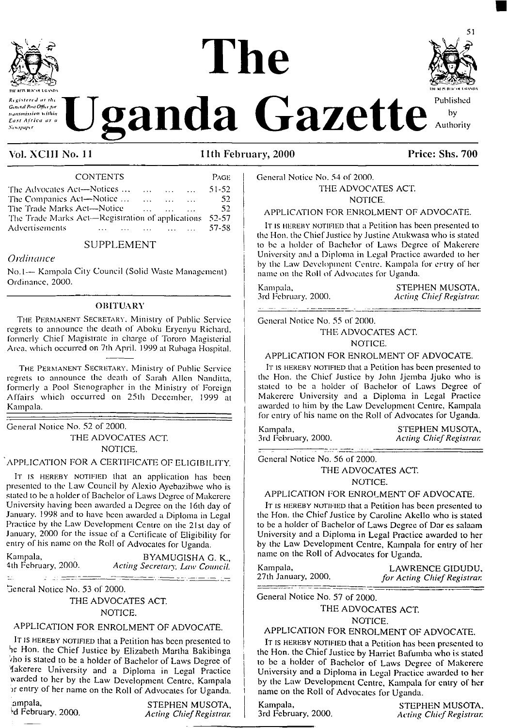

# **The till Hl ft Bl K'lM KIVXOl TwnrnBiirot** ioaxo\* **Respectively.** The **Uganda Gazette Author**



Vol. XC1II No. <sup>11</sup> 11th February, 2000 Price: Shs. 700

| REPUBLICATION AND A<br>Registered at the<br>General Post Office for<br>nansmission within<br>East Africa as a<br>Newspaper. |                                                     |  |  |  | ganda                               |
|-----------------------------------------------------------------------------------------------------------------------------|-----------------------------------------------------|--|--|--|-------------------------------------|
| Vol. XCIII No. 11                                                                                                           |                                                     |  |  |  | 11th Feb                            |
|                                                                                                                             | <b>CONTENTS</b>                                     |  |  |  | PAGE                                |
| The Advocates Act—Notices<br>The Companies Act-Notice<br>The Trade Marks Act—Notice<br>Advertisements                       | The Trade Marks Act—Registration of applications    |  |  |  | 51-52<br>52<br>52<br>52-57<br>57-58 |
|                                                                                                                             | SUPPLEMENT                                          |  |  |  |                                     |
| Ordinance                                                                                                                   | No.1— Kampala City Council (Solid Waste Management) |  |  |  |                                     |
| Ordinance 2000                                                                                                              |                                                     |  |  |  |                                     |

## SUPPLEMENT

## *Ordinance*

No. <sup>1</sup>— Kampala City Council (Solid Waste Management) Ordinance, 2000.

## **OBITUARY**

The Permanent Secretary. Ministry of Public Service regrets to announce the death of Aboku Erycnyu Richard, formerly Chief Magistrate in charge of Tororo Magisterial Area, which occurred on 7th April. 1999 at Rubaga Hospital.

The Permanent Secretary. Ministry of Public Service regrets to announce the death of Sarah Allen Nanditta, formerly a Pool Stenographer in the Ministry of Foreign Affairs which occurred on 25th December, 1999 at Kampala.

General Notice No. 52 of 2000. THE ADVOCATES ACT NOTICE.

## 'APPLICATION FOR A CERTIFICATE OF ELIGIBILITY.

It is HEREBY NOTIFIED that an application has been presented to the Law Council by Alexio Ayebazibwe who is staled to be a holder of Bachelor of Laws Degree of Makerere University having been awarded a Degree on the 16th day of January. 1998 and to have been awarded a Diploma in Legal Practice by the Law Development Centre on the 21st day of January, 2000 for the issue of a Certificate of Eligibility for entry of his name on the Roll of Advocates for Uganda.

Kampala, BYAMUGISHA G. K., BYAMUGISHA G. K., 4th February, 2000.

4th February, 2000. *Acting Secretary, Law Council.* <u>n di tenden tendis element</u>

<u> 10 de estac</u> General Notice No. 53 of 2000.

 $\mathbb{Z}^2$ 

THE ADVOCATES ACT. NOTICE.

## APPLICATION FOR ENROLMENT OF ADVOCATE.

IT IS HEREBY NOTIFIED that a Petition has been presented to he Hon. the Chief Justice by Elizabeth Martha Bakibinga ■/ho is stated to be a holder of Bachelor of Laws Degree of Makerere University and a Diploma in Legal Practice warded to her by the Law Development Centre, Kampala or entry of her name on the Roll of Advocates for Uganda.

Example ampails, and the STEPHEN MUSOTA,<br>
Acting Chief Registrary, 2000. d February, 2000. *Acting ChiefRegistrar.* General Notice No. 54 of 2000.

THE ADVOCATES ACT. NOTICE.

## APPLICATION FOR ENROLMENT OF ADVOCATE.

It is hereby notified that a Petition has been presented to the Hon. the Chief Justice by Justine Atukwasa who is stated to be a holder of Bachelor of Laws Degree of Makerere University and a Diploma in Legal Practice awarded to her by the Law Development Centre. Kampala for entry of her name on the Roll of Advocates for Uganda.

Kampala, STEPHEN MUSOTA, STEPHEN MUSOTA, 3rd February, 2000. 3rd February. 2000. *Acting Chief Registrar.*

General Notice No. 55 of 2000.

THE ADVOCATES ACT.

NOTICE.

### APPLICATION FOR ENROLMENT OF ADVOCATE.

It is HEREBY NOTIFIED that a Petition has been presented to the Hon. the Chief Justice by John Jjemba Jjuko who is staled to be a holder of Bachelor of Laws Degree of Makerere University and a Diploma in Legal Practice awarded to him by the Law Development Centre, Kampala for entry of his name on the Roll of Advocates for Uganda.

Kampala, STEPHEN MUSOTA, STEPHEN MUSOTA, STEPHEN MUSOTA, 3rd February, 2000. *Acting ChiefRegistrar.*

General Notice No. 56 of 2000.

THE ADVOCATES ACT.

### NOTICE.

## APPLICATION FOR ENROLMENT OF ADVOCATE.

It is hereby notified that a Petition has been presented to the Hon. the Chief Justice by Caroline Akcllo who is slated to be a holder of Bachelor of Laws Degree of Dar cs salaam University and a Diploma in Legal Practice awarded to her by the Law Development Centre, Kampala for entry of her name on the Roll of Advocates for Uganda.

Kampala, LAWRENCE GIDUDU, LAWRENCE GIDUDU, LAWRENCE GIDUDU, 27th January, 2000. *for Acting ChiefRegistrar.*

General Notice No. 57 of 2000.

### THE ADVOCATES ACT.

NOTICE.

## APPLICATION FOR ENROLMENT OF ADVOCATE.

IT IS HEREBY NOTIFIED that a Petition has been presented to the Hon. the Chief Justice by Harriet Bafumba who is stated to be a holder of Bachelor of Laws Degree of Makerere University and a Diploma in Legal Practice awarded to her by the Law Development Centre, Kampala for entry of her name on lhe Roll of Advocates for Uganda.

Kampala, STEPHEN MUSOTA, STEPHEN MUSOTA, STEPHEN MUSOTA, 3rd February, 2000. *Acting ChiefRegistrar.*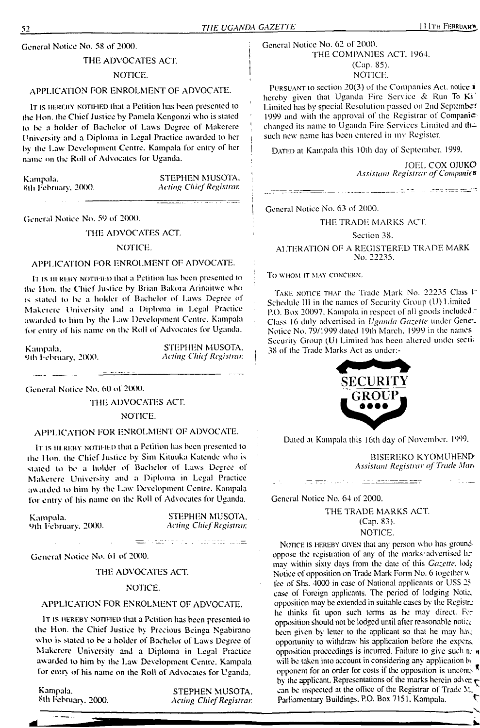General Notice No. 58 of 2000.

### THE ADVOCATES ACT.

### NOTICE.

## APPLICATION FOR ENROLMENT OF ADVOCATE.

It is hereby notified that a Petition has been presented to the Hon. the Chief Justice by Pamela Kengonzi who is stated to be a holder of Bachelor of Laws Degree of Makerere University and a Diploma in Legal Practice awarded lo her <sup>|</sup> bv the Law Development Centre. Kampala for entry of her <sup>|</sup> name on the Roll of Advocates for Uganda.

Kampala. STEPHEN MUSOTA, Sth February, 2000. Acting Chief Registrar. Sth February. 2fXX). *Acting ChiefRegistrar.*

General Notice No. 59 of 2000.

THE ADVOCATES ACT

### NOTICE.

## APPLICATION FOR ENROLMENT OF ADVOCATE.

IT IS HEREBY NOTIFIED that a Petition has been presented to the Hon. the Chief Justice by Brian Bakora Arinailwe who stated lo <sup>I</sup>k a holder of Bachelor of Laws Degree of Makeicre University and a Diploma in Legal Practice awarded to him by the Law Development Centre. Kampala for entry of his name on the Roll of Advocates for Uganda.

9lh Febiunry. 2(X)0. *Acting Chief Registrar <sup>|</sup>*

Kampala. STEPHEN MUSOTA. (

General Notice No. 60 ot 2000.

THE ADVOCATES ACT.

### NOTICE.

## APPLICATION FOR ENROLMENT OF ADVOCATE.

It is hereby notified that a Petition has been presented lo the Hon. lhe Chief Justice by Sim Kiluuka Katendc who is stated to be a holder of Bachelor of Laws Degree of Makerere University and a Diploma in Legal Practice awarded to him by the Law Development Centre. Kampala for entrv of his name on the Roll of Advocates for Uganda.

Kampala. 9th February, 2000.

STEPHEN MUSOTA. *Acting Chief Registrar.*

the contract of the contract of the second state of the second state of the second state of the second state of the second state of the second state of the second state of the second state of the second state of the second

General Notice No. 61 of 2000.

### THE ADVOCATES ACT

### NOTICE.

## APPLICATION FOR ENROLMENT OF ADVOCATE.

It is hereby notified that a Petition has been presented to the Hon. the Chief Justice by Precious Beinga Ngabirano who is stated to be a holder of Bachelor of Laws Degree of Makerere University and a Diploma in Legal Practice awarded to him by the Law Development Centre. Kampala tor entry of his name on the Roll of Advocates for Uganda.

Kampala. STEPHEN MUSOTA.<br>
Sth February, 2000. Acting Chief Registrar. 8th February. 2000. *Acting ChiefRegistrar.*

General Notice No. 62 of 2000. THE COMPANIES ACT. 1964. (Cap. 85). NOTICE.

PURSUANT to section 20(3) of the Companies Act. notice  $\dot{\mathbf{r}}$ hereby given that Uganda Fire Service & Run To Ki Limited has by special Resolution passed on 2nd September 1999 and with the approval of the Registrar of Companie changed its name to Uganda Fire Services Limited and drsuch new name has been entered in my Register.

DATED at Kampala this 10th day of September, 1999.

JOEL COX OJUKO *Assistant Registrar ofCompanies*

General Notice No. 63 of 2000.

### THE TRADE MARKS ACT

### Section 38.

ALTERATION OF A REGISTERED TRADE MARK No. 22235.

TO WHOM IT MAY CONCERN.

TAKE NOTICE THAT the Trade Mark No. 22235 Class In Schedule III in the names of Security Group (U) Limited P.O. Box 20097. Kampala in respect of all goods included  $\bar{z}$ Class 16 duly advertised in *Uganda Gazette* under Gene". Notice No. 79/1999 dated 19lh March. 1999 in the names Security Group (U) Limited has been altered under sectial 38 of the Trade Marks Act as under:-



Dated at Kampala this <sup>1</sup>6th day of November. 1999.

<u> 100 a seria meneri me</u>nt

BISEREKO KYOMUHEND *Assistant Registrar of Trade Mar\**

אין געוויינע אין דער אין  $\pi$ 

General Notice No. 64 of 2000.

THE TRADE MARKS ACT (Cap, 83). NOTICE.

NOTICE IS HEREBY GIVEN that any person who has groundoppose the registration of any of the marks-advertised hrmay within sixty days from the date of this *Gazette,* lodi Notice of opposition on Trade Mark Form No. 6 together w fee of Shs. 4000 in case of National applicants or USS 25 case of Foreign applicants. The period of lodging Notic, opposition may be extended in suitable cases by the Registre he thinks fit upon such terms as he may direct. For opposition should not be lodged until after reasonable notice been given by letter to the applicant so that he may have opportunity to withdraw his application before the expons, opposition proceedings is incurred. Failure to give such n? n will be taken into account in considering any application by opponent for an order for costs if the opposition is uncont. by the applicant. Representations of the marks herein advert  $\epsilon$ can be inspected at the office of the Registrar of Trade M. Parliamentary Buildings. P.O. Box 7151, Kampala.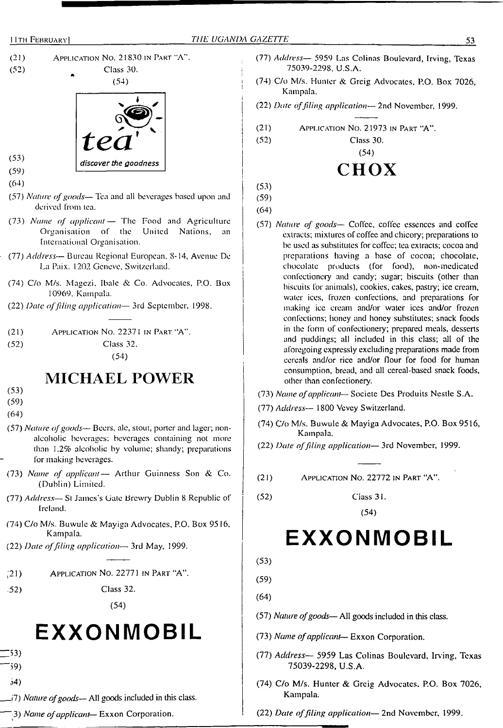



- (73) *Name of applicant—* The Food and Agriculture Organisation of the United Nations, an International Organisation.
- (77) *Address—* Bureau Regional European. 8-14, Avenue De La Paix. 1202 Geneve, Switzerland.
- (74) C/o M/s. Magezi, Ibale &. Co. Advocates, P.O. Box 10969, Kampala.
- (22) *Date offiling application—* 3rd September. 1998.
- (21) Application No. 2237<sup>1</sup> in Part "A". (52) Class 32. (54)

## **MICHAEL POWER**

- (53)
- (59)
- (64)
- (57) *Nature ofgoods—* Beers, ale, stout, porter and lager; nonalcoholic beverages: beverages containing not more than 1.2% alcoholic by volume; shandy; preparations for making beverages.
- (73) *Name of applicant—* Arthur Guinness Son & Co. (Dublin) Limited.
- (77) *Address—* St James's Gate Brewry Dublin 8 Republic of Ireland.
- (74) C/o M/s. Buwule & Mayiga Advocates, P.O. Box 9516, Kampala.
- (22) *Date offiling application—* 3rd May, 1999.
- ;21) Application No. 22771 in Part "A".
- ,52) Class 32.

(54)

## **EXXONMOBIL**

- $\sqrt{53}$
- '59)
- 34)
- \_j7) *Nature ofgoods* All goods included in this class.
- "3) *Name ofapplicant—* Exxon Corporation.
- (77) *Address—* 5959 Las Colinas Boulevard, Irving, Texas 75039-2298, U.S.A.
- (74) C/o M/s. Hunter & Greig Advocates, P.O. Box 7026, Kampala.
- (22) *Date offiling application—* 2nd November, 1999.
- (21) Application No. 21973 in <sup>P</sup>art "A".

(52) Class 30.

(54)

## **CHOX**

(53)

I

(59)

- (64)
- (57) *Nature of goods—* Coffee, coffee essences and coffee extracts; mixtures of coffee and chicory; preparations to be used as substitutes for coffee; tea extracts; cocoa and preparations having a base of cocoa; chocolate, chocolate products (for food), non-medicated confectionery and candy; sugar; biscuits (other than biscuits for animals), cookies, cakes, pastry; ice cream, water ices, frozen confections, and preparations for making ice cream and/or water ices and/or frozen confections; honey and honey substitutes; snack foods in the form of confectionery; prepared meals, desserts and puddings; all included in this class; all of the aforegoing expressly excluding preparations made from cereals and/or rice and/or flour for food for human consumption, bread, and all cereal-based snack foods, other than confectionery.
- (73) *Name ofapplicant* Societe Des Produits Nestle S.A.
- (77) *Address—* 1800 Vcvey Switzerland.
- (74) C/o M/s. Buwule & Mayiga Advocates, P.O. Box 9516, Kampala.
- (22) *Date offiling application—* 3rd November, 1999.
- (21) Application No. 22772 in Part "A".
- (52) Ciass 31.

(54)

## **EXXONMOBIL**

(53)

(59)

- (64)
- (57) *Nature ofgoods* All goods included in this class.
- (73) *Name ofapplicant—* Exxon Corporation.
- (77) *Address—* 5959 Las Colinas Boulevard, Irving, Texas 75039-2298, U.S.A.
- (74) C/o M/s. Hunter & Greig Advocates. P.O. Box 7026, Kampala.
- (22) *Date offiling application—* 2nd November, 1999.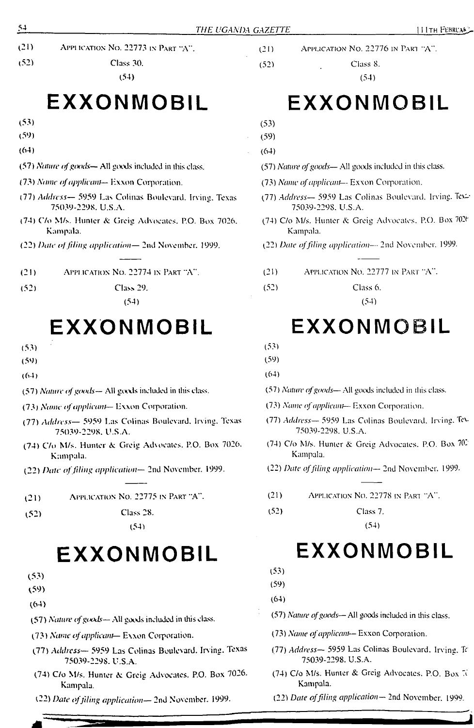- (21) Appi ication No. 22773 in Part "A".
- (52) Class 30.

## **EXXONMOBIL**

- (53)
- (59)
- (64)
- (57) *Nature ofgoods—* All goods included in ibis class.
- (73) *Name ofapplicant—* Exxon Corporation.
- (77) *Address—* 5959 Las Colinas Boulevard. Irving. Texas 75039-2298. U.S.A.
- (74) C/o M/s. Hunter & Greig Advocates, P.O. Box 7026, Kampala.
- (22) *Ihue offiling application—* 2nd November. 1999.
- (21) Application No. 22774 in Part "A".
- (52) Class 29.

(54)

## **EXXONMOBIL**

- (53)
- (59)
- (64)
- (57) *Nature ofgoods—* All goixls included in this class.
- (73) *Name ofapplicant* Exxon Corporation.
- (77) *Address—* 5959 Las Colinas Boulevard. Irving. Texas 75039-2298. U.S.A.
- (74) C/o M/s. Hunter A: Greig Advocates. P.O. Box 7026. Kampala.
- (22) *Date offiling application—* 2nd November. 1999.
- (21) Application No. 22775 in Part "A".
- (52) Class 28.

(54)

## **EXXONMOBIL**

- (53)
- (59)
- (64)
- (57) *Nature ofgoods—* .AU goods included in this class.
- (73) *Name ofapplicant—* Exxon Corporation.
- (77) *Address—* 5959 Las Colinas Boulevard. Irving. Texas 75039-2298. U.S.A.
- (74) C/o M/s. Hunter & Greig Advocates. P.O. Box 7026. Kampala.
- (22) *Date offding application—* 2nd November. 1999.
- (21) Application No. 22776 in Pari "A".
- (52) . Class 8.

(54)

(53)

(59) (64)

(57) *Nature ofgoods—* All goods included in this class.

- (73) *Name ofapplicant—* Exxon Corporation.
- (77) *Address—* 5959 Las Colinas Boulevard. Irving. Tex-75039-2298. U.S.A.
- (74) C/o M/s. Hunter & Greig Advocates, P.O. Box 702t Kampala.

(22) *Date offding application—* 2nd November. 1999.

- (21) Application No. 22777 in Part "A".
- (52) Class 6.

## (54)

## **EXXONMOBIL**

- (53)
- (59)

(64)

- (57) *Nature ofgoods—* All gocxls included in this class.
- (73) *Name ofapplicant—* Exxon Corporation.
- (77) *Address—* 5959 Las Colinas Boulevard. Irving. Tc\- 75039-2298. U.S.A.
- (74) C/o M/s. Hunter &. Greig Advocates. P.O. Box 70- Kampala.
- (22) *Date offding application—* 2nd November. 1999.
- (21) Application No. 22778 in Part "A".
- (52) Class 7.

(54)

## **EXXONMOBIL**

(53)

(59)

(64)

- (57) *Nature ofgoods—* All goods included in this class.
- (73) *Name ofapplicant—* Exxon Corporation.
- (77) *Address—* 5959 Las Colinas Boulevard. Irving. T 75039-2298. U.S.A.
- (74) C/o M/s. Hunter & Greig Advocates. P.O. Box  $\mathbb{R}$ Kampala.
- (22) *Date offiling application—* 2nd November. 1999.

## **EXXONMOBIL**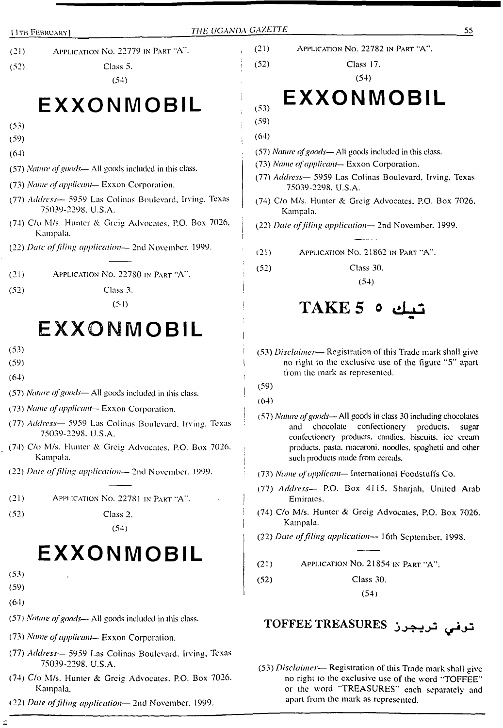- (21) Application No. 22779 in Part "A".
- (52) Class 5.

## (54)

## **EXXONMOBIL**

- (53)
- (59)
- (64)
- (57) *Nature ofgoods—* All goods included in this class.
- (73) *Name ofapplicant* Exxon Corporation.
- (77) *Address—* 5959 Las Colinas Boulevard, Irving. Texas 75039-2298. U.S.A.
- (74) C/o M/s. Hunter & Greig Advocates, P.O. Box 7026, Kampala.
- (22) *Date offding application—* 2nd November. 1999.

(21) Application No. 22780 in Part "A".

- (52) Class 3.
	- (54)

## **EXXONMOBIL**

- (53)
- (59)
- (64)
- (57) *Nature ofgoods—* All goods included in this class.
- (73) *Name ofapplicant—* Exxon Corporation.
- (77) *Address—* 5959 Las Colinas Boulevard. Irving. Texas 75039-2298. U.S.A.
- (74) C/o M/s. Hunter & Greig Advocates. P.O. Box 7026. Kampala.
- (22) *Date offding application—* 2nd November. 1999.

(21) Application No. 22781 in Part "A".

(52) Class 2.

(54)

## **EXXONMOBIL**

- (53)
- (59)
- (64)
- (57) *Nature ofgoods* All goods included in this class.
- (73) *Name ofapplicant—* Exxon Corporation.
- (77) *Address—* 5959 Las Colinas Boulevard. Irving, Texas 75039-2298. U.S.A.
- (74) C/o M/s. Hunter & Greig Advocates. P.O. Box 7026. Kampala.
- (22) *Date offding application—* 2nd November. 1999.

(21) Application No. 22782 in Part "A".

(52) Class 17.

(54)

## **EXXONMOBIL**

(53) (59)

(64)

- (57) *Nature ofgoods—* All goods included in this class.
- (73) *Name ofapplicant—* Exxon Corporation.
- (77) *Address—* 5959 Las Colinas Boulevard, Irving, Texas 75039-2298. U.S.A.
- (74) C/o M/s. Hunter & Greig Advocates, P.O. Box 7026, Kampala.
- (22) *Date offiling application—* 2nd November. 1999.
- (21) Application No. 21862 in Part "A".
- (52) Class 30.

(54)

## <mark>TAKE 5</mark> هيك 1

(53) *Disclaimer*— Registration of this Trade mark shall give no right to the exclusive use of the figure "5" apart from the mark as represented.

(59)

(64)

(57) *Nature ofgoods—* All goods in class 30 including chocolates and chocolate confectionery products, sugar confectionery products, candies, biscuits, ice cream products, pasta, macaroni, noodles, spaghetti and other such products made from cereals.

(73) *Name ofapplicant*— International Foodstuffs Co.

- (77) *Address—* P.O. Box 4115, Sharjah, United Arab Emirates.
- (74) C/o M/s. Hunter & Greig Advocates, P.O. Box 7026. Kampala.
- (22) *Date offding application—* 16th September, 1998.

(21) Application No. 21854 in Part "A".

(52) Class 30. (54)

**TOFFEE TREASURES ^>3**

(53) *Disclaimer—* Registration of this Trade mark shall give no right to the exclusive use of the word "TOFFEE" or the word "TREASURES" each separately and apart from the mark as represented.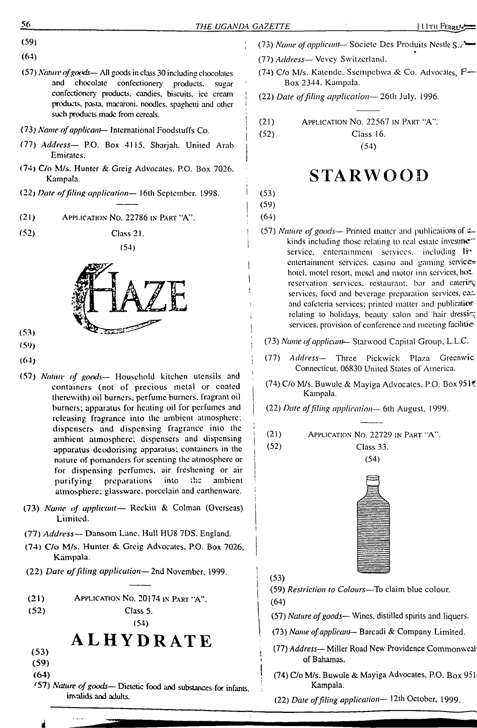(59)

- (64)
- (57) *Natiurofgoods—* All goods in class 30 including chocolates chocolate confectionery products, sugar confectionery products, candies, biscuits, ice cream products, pasta, macaroni, noodles, spaghetti and other such products made from cereals.
- (73) *Name ofapplicant—* International Foodstuffs Co.
- (77) *Address—* P.O. Box 4115, Sharjah. United Arab Emirates.
- (74) C/o M/s. Hunter & Greig Advocates. P.O. Box 7026. Kampala.
- (22) *Date offiling application—* 16th September. 1998.
- $(21)$ Application No. 22786 in Part "A".
- $(52)$ Class 21.





- (53)
- (59)
- (64)
- (57) *Nature of goods—* Household kitchen utensils and containers (not of precious metal or coated therewith) oil burners, perfume burners, fragrant oil burners; apparatus for heating oil for perfumes and releasing fragrance into the ambient atmosphere; dispensers and dispensing fragrance into the ambient atmosphere; dispensers and dispensing apparatus deodorising apparatus; containers in the nature of pomanders for scenting the atmosphere or for dispensing perfumes, air freshening or air purifying preparations into the ambient atmosphere; glassware, porcelain and earthenware.
- (73) *Name of applicant—* Reckitt & Colman (Overseas) Limited.
- (77) *Address—* Dansom Lane. Hull HU8 7DS. England.
- (74) C/o M/s. Huntcr & Greig Advocates, P.O. Box 7026, Kampala.
- (22) *Date offiling application—* 2nd November. 1999.

(21) Application No. 20174 in Part "A".

(52)

## **ALHYDRATE**

Class 5. (54)

- (53) (59)
- (64)
- 
- *f57) Nature ofgoods—* Dietetic food and substances for infants, invalids and adults.
- (73) *Name ofapplicant—* Socicte Des Produils Nestle S./""
	- (77) *Address—* Vevcy Switzerland.
	- (74) C/o M/s. Katcndc. Ssempcbwa & Co. Advocates, P— Box 2344. Kampala.
	- (22) *Date offiling application—* 26th July. 1996.
	- (21) Application No. 22567 in Part "A".

Class 16. (54)

## **STARWOOD**

(53)

(52)

(59)

- (64)
- (57) *Nature ofgoods—* Printed matter and publications of kinds including those relating to real estate investme $\tau$ service, entertainment services, including liventertainment services, casino and gaming servicehotel, motel resort, motel and motor inn services, hot. reservation services, restaurant, bar and catering services, food and beverage preparation services, can and cafeteria services; printed matter and publicatiorrelating to holidays, beauty salon and hair dressing services, provision of conference and meeting facilities
- (73) *Name ofapplicant—* Starwood Capital Group, L.L.C.
- (77) *Address—* Three Pickwick Plaza Greenwic Connecticut, 06830 United States of America.
- (74) C/o M/s. Buwule & Mayiga Advocates. P.O. Box 951? Kampala.
- (22) *Date offiling application—* 6lh August, 1999.
- (21) Application No. 22729 in Part "A".

Class 33. (54)



- (53)
- (59) *Restriction to Colours—*To claim blue colour.
- (64)

(52)

- (57) *Nature ofgoods—* Wines, distilled spirits and liquers.
- (73) *Name ofapplicant—* Barcadi & Company Limited.
- (77) *Address—* Miller Road New Providence Commonweal' of Bahamas.
- (74) C/o M/s, Buwule & Mayiga Advocates, P.O. Box 951< Kampala.
- (22) *Date offiling application—* 12th October, 1999.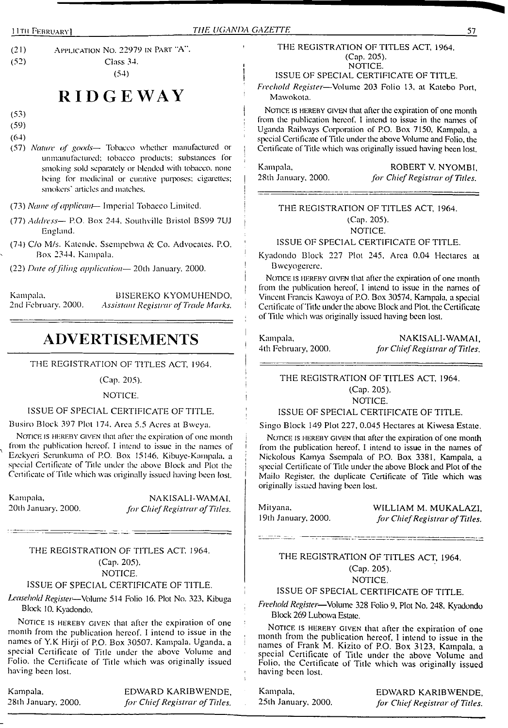(2<sup>1</sup>) Application No. 22979 in <sup>P</sup>art "A". (52) Class 34. (54)

## **RIDGEWAY**

(53)

(59)

(64)

- (57) *Nature of goods—* Tobacco whether manufactured or unmanufactured; tobacco products; substances for smoking sold separately or blended with tobacco, none being for medicinal or curative purposes; cigarettes; smokers' articles and matches.
- (73) *Name ofapplicant—* Imperial Tobacco Limited.
- (77) *Address—* P.O. Box 244. Southvillc Bristol BS99 7UJ England.
- (74) C/o M/s. Kalendc. Sscmpcbwa & Co. Advocates. P.O. Box 2344. Kampala.

(22) *Date offiling application—* 20th January. 2000.

Kampala. BISEREKO KYOMUHENDO,<br>2nd February. 2000. Assistant Registrar of Trade Marks. 2nd February. 2000. *Assistant Registrar ofTrade Marks.*

## **ADVERTISEMENTS**

THE REGISTRATION OF TITLES ACT, 1964.

## (Cap. 205).

### NOTICE.

ISSUE OF SPECIAL CERTIFICATE OF TITLE.

Busiro Block 397 Plot 174. Area 5.5 Acres at Bwcya.

NOTICE IS HEREBY GIVEN that after the expiration of one month from the publication hereof. <sup>I</sup> intend to issue in the names of Ezekyeri Scrunkuma of P.O. Box 15146. Kibuyc-Kampala. a special Certificate of Title under the above Block and Plot the Certificate of Title which was originally issued having been lost.

Kampala, 20lh January. 2000.

NAKISALI-WAMAI. *for Chief Registrar of Titles.* | Mityana.

## THE REGISTRATION OF TITLES ACT. 1964. (Cap. 205). NOTICE.

### ISSUE OF SPECIAL CERTIFICATE OF TITLE.

*Leasehold Register—*Volume 514 Folio 16. Plot No. 323, Kibuga Block 10. Kyadondo.

NOTICE IS HEREBY GIVEN that after the expiration of one month from the publication hereof. <sup>I</sup> intend to issue in the names of Y.K Hirji of P.O. Box 30507. Kampala. Uganda, a special Certificate of Title under the above Volume and Folio, the Certificate of Title which was originally issued having been lost.

## Kampala. EDWARD KARIBWENDE, 28lh January'. 2000. *for ChiefRegistrar of Titles.*

### THE REGISTRATION OF TITLES ACT, 1964. (Cap. 205). NOTICE.

ISSUE OF SPECIAL CERTIFICATE OF TITLE.

*Freehold Register*—Volume 203 Folio 13, at Katebo Port, Mawokota.

NOTICE IS HEREBY GIVEN that after the expiration of one month from the publication hereof. I intend to issue in the names of Uganda Railways Corporation of P.O. Box 7150, Kampala, a special Certificate of Title under the above Volume and Folio, the Certificate of Title which was originally issued having been lost.

Kampala, ROBERT V. NYOMBI, <sup>|</sup> 28th January, 2000. *for ChiefRegistrar of Titles.*

## THE REGISTRATION OF TITLES ACT, 1964. (Cap. 205). NOTICE.

### ISSUE OF SPECIAL CERTIFICATE OF TITLE.

Kyadondo Block 227 Plot 245, Area 0.04 Hectares at Bweyogerere.

NOTICE IS HEREBY GIVEN that after the expiration of one month from the publication hereof, I intend to issue in the names of Vincent Francis Kawoya of P.O. Box 30574, Kampala, a special Certificate of Title under the above Block and Plot, the Certificate of Title which was originally issued having been lost.

Kampala, NAKISALI-WAMAI, ■ 4th February, 2000. *for ChiefRegistrar ofTitles.*

## THE REGISTRATION OF TITLES ACT, 1964. (Cap. 205).

NOTICE.

## ISSUE OF SPECIAL CERTIFICATE OF TITLE.

Singo Block 149 Plot 227, 0.045 Hectares at Kiwesa Estate.

NOTICE IS HEREBY GIVEN that after the expiration of one month from the publication hereof. I intend to issue in the names of Nickolous Kamya Sscmpala of P.O. Box 3381, Kampala, a special Certificate of Title under the above Block and Plot of the Mailo Register, the duplicate Certificate of Title which was originally issued having been lost.

19th January, 2000.

WILLIAM M. MUKALAZI, *for ChiefRegistrar ofTitles.*

## THE REGISTRATION OF TITLES ACT, 1964. (Cap. 205).

----<del>-----------</del>

NOTICE.

## ISSUE OF SPECIAL CERTIFICATE OF TITLE.

*Freehold Register—*Volume 328 Folio 9, Plot No. 248, Kyadondo Block 269 Lubowa Estate.

NOTICE IS HEREBY GIVEN that after the expiration of one month from the publication hereof, I intend to issue in the names of Frank M. Kizito of P.O. Box 3123, Kampala, a special Certificate of Title under the above Volume and Folio, the Certificate of Title which was originally issued having been lost.

Kampala, EDWARD KARIBWENDE, 25th January. 2000. *for ChiefRegistrar ofTitles.*